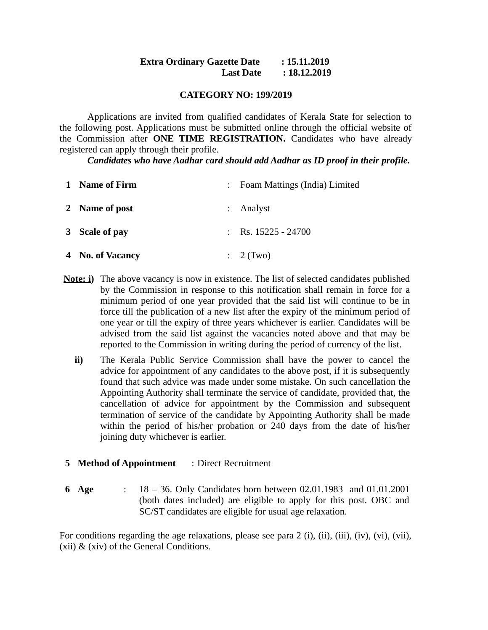### **Extra Ordinary Gazette Date : 15.11.2019 Last Date : 18.12.2019**

### **CATEGORY NO: 199/2019**

Applications are invited from qualified candidates of Kerala State for selection to the following post. Applications must be submitted online through the official website of the Commission after **ONE TIME REGISTRATION.** Candidates who have already registered can apply through their profile.

*Candidates who have Aadhar card should add Aadhar as ID proof in their profile.*

| $\mathbf{1}$ | Name of Firm     | Foam Mattings (India) Limited |
|--------------|------------------|-------------------------------|
|              | 2 Name of post   | : Analyst                     |
|              | 3 Scale of pay   | Rs. 15225 - 24700             |
|              | 4 No. of Vacancy | $\therefore$ 2 (Two)          |

- **Note: i)** The above vacancy is now in existence. The list of selected candidates published by the Commission in response to this notification shall remain in force for a minimum period of one year provided that the said list will continue to be in force till the publication of a new list after the expiry of the minimum period of one year or till the expiry of three years whichever is earlier. Candidates will be advised from the said list against the vacancies noted above and that may be reported to the Commission in writing during the period of currency of the list.
	- **ii)** The Kerala Public Service Commission shall have the power to cancel the advice for appointment of any candidates to the above post, if it is subsequently found that such advice was made under some mistake. On such cancellation the Appointing Authority shall terminate the service of candidate, provided that, the cancellation of advice for appointment by the Commission and subsequent termination of service of the candidate by Appointing Authority shall be made within the period of his/her probation or 240 days from the date of his/her joining duty whichever is earlier.
- **5 Method of Appointment** : Direct Recruitment
- **6 Age** : 18 36. Only Candidates born between 02.01.1983 and 01.01.2001 (both dates included) are eligible to apply for this post. OBC and SC/ST candidates are eligible for usual age relaxation.

For conditions regarding the age relaxations, please see para 2 (i), (ii), (iii), (iv), (vi), (vii), (xii) & (xiv) of the General Conditions.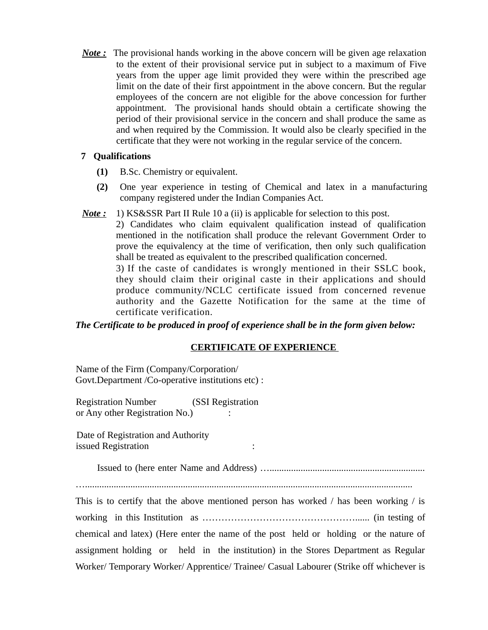*Note :* The provisional hands working in the above concern will be given age relaxation to the extent of their provisional service put in subject to a maximum of Five years from the upper age limit provided they were within the prescribed age limit on the date of their first appointment in the above concern. But the regular employees of the concern are not eligible for the above concession for further appointment. The provisional hands should obtain a certificate showing the period of their provisional service in the concern and shall produce the same as and when required by the Commission. It would also be clearly specified in the certificate that they were not working in the regular service of the concern.

# **7 Qualifications**

- **(1)** B.Sc. Chemistry or equivalent.
- **(2)** One year experience in testing of Chemical and latex in a manufacturing company registered under the Indian Companies Act.
- *Note :* 1) KS&SSR Part II Rule 10 a (ii) is applicable for selection to this post.

2) Candidates who claim equivalent qualification instead of qualification mentioned in the notification shall produce the relevant Government Order to prove the equivalency at the time of verification, then only such qualification shall be treated as equivalent to the prescribed qualification concerned.

3) If the caste of candidates is wrongly mentioned in their SSLC book, they should claim their original caste in their applications and should produce community/NCLC certificate issued from concerned revenue authority and the Gazette Notification for the same at the time of certificate verification.

# *The Certificate to be produced in proof of experience shall be in the form given below:*

# **CERTIFICATE OF EXPERIENCE**

Name of the Firm (Company/Corporation/ Govt.Department /Co-operative institutions etc) :

Registration Number (SSI Registration or Any other Registration No.)  $\cdot$ 

Date of Registration and Authority issued Registration :

Issued to (here enter Name and Address) ….................................................................

….........................................................................................................................................

This is to certify that the above mentioned person has worked  $\ell$  has been working  $\ell$  is working in this Institution as …………………………………………...... (in testing of chemical and latex) (Here enter the name of the post held or holding or the nature of assignment holding or held in the institution) in the Stores Department as Regular Worker/ Temporary Worker/ Apprentice/ Trainee/ Casual Labourer (Strike off whichever is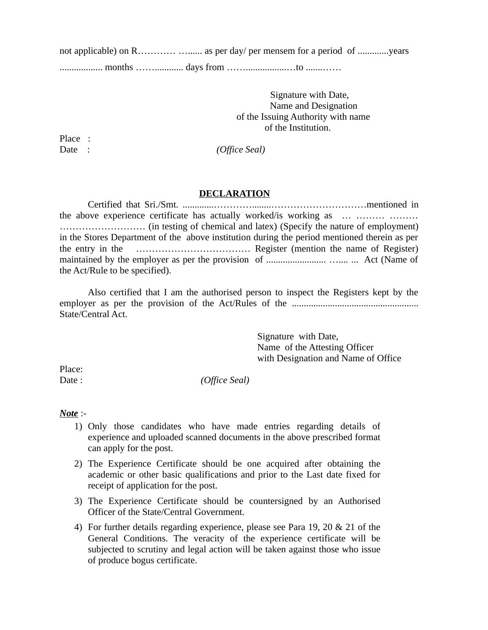not applicable) on R………… ……… as per day/ per mensem for a period of ………… years

.................. months ……............ days from …….................…to .......……

 Signature with Date, Name and Designation of the Issuing Authority with name of the Institution.

Place :

Date : *(Office Seal)* 

#### **DECLARATION**

Certified that Sri./Smt. .............…………........…………………………mentioned in the above experience certificate has actually worked/is working as … ……… ……… ……………………… (in testing of chemical and latex) (Specify the nature of employment) in the Stores Department of the above institution during the period mentioned therein as per the entry in the ……………………………… Register (mention the name of Register) maintained by the employer as per the provision of ......................... ….... ... Act (Name of the Act/Rule to be specified).

Also certified that I am the authorised person to inspect the Registers kept by the employer as per the provision of the Act/Rules of the ..................................................... State/Central Act.

> Signature with Date, Name of the Attesting Officer with Designation and Name of Office

Place:

Date : *(Office Seal)* 

### *Note* :-

- 1) Only those candidates who have made entries regarding details of experience and uploaded scanned documents in the above prescribed format can apply for the post.
- 2) The Experience Certificate should be one acquired after obtaining the academic or other basic qualifications and prior to the Last date fixed for receipt of application for the post.
- 3) The Experience Certificate should be countersigned by an Authorised Officer of the State/Central Government.
- 4) For further details regarding experience, please see Para 19, 20 & 21 of the General Conditions. The veracity of the experience certificate will be subjected to scrutiny and legal action will be taken against those who issue of produce bogus certificate.